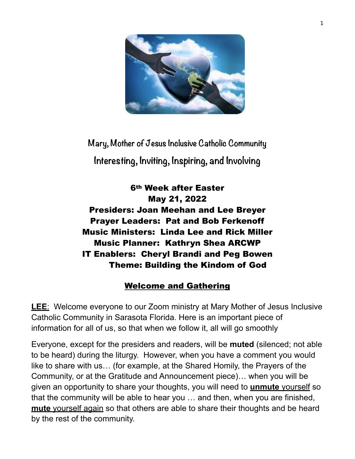

**Mary, Mother of Jesus Inclusive Catholic Community Interesting, Inviting, Inspiring, and Involving**

6th Week after Easter May 21, 2022 Presiders: Joan Meehan and Lee Breyer Prayer Leaders: Pat and Bob Ferkenoff Music Ministers: Linda Lee and Rick Miller Music Planner: Kathryn Shea ARCWP IT Enablers: Cheryl Brandi and Peg Bowen Theme: Building the Kindom of God

### Welcome and Gathering

**LEE**: Welcome everyone to our Zoom ministry at Mary Mother of Jesus Inclusive Catholic Community in Sarasota Florida. Here is an important piece of information for all of us, so that when we follow it, all will go smoothly

Everyone, except for the presiders and readers, will be **muted** (silenced; not able to be heard) during the liturgy. However, when you have a comment you would like to share with us… (for example, at the Shared Homily, the Prayers of the Community, or at the Gratitude and Announcement piece)… when you will be given an opportunity to share your thoughts, you will need to **unmute** yourself so that the community will be able to hear you … and then, when you are finished, **mute** yourself again so that others are able to share their thoughts and be heard by the rest of the community.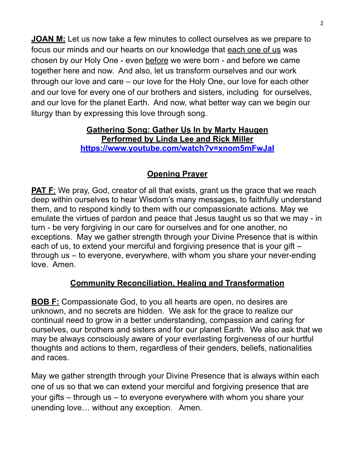**JOAN M:** Let us now take a few minutes to collect ourselves as we prepare to focus our minds and our hearts on our knowledge that each one of us was chosen by our Holy One - even before we were born - and before we came together here and now. And also, let us transform ourselves and our work through our love and care – our love for the Holy One, our love for each other and our love for every one of our brothers and sisters, including for ourselves, and our love for the planet Earth. And now, what better way can we begin our liturgy than by expressing this love through song.

#### **Gathering Song: Gather Us In by Marty Haugen Performed by Linda Lee and Rick Miller <https://www.youtube.com/watch?v=xnom5mFwJaI>**

### **Opening Prayer**

**PAT F:** We pray, God, creator of all that exists, grant us the grace that we reach deep within ourselves to hear Wisdom's many messages, to faithfully understand them, and to respond kindly to them with our compassionate actions. May we emulate the virtues of pardon and peace that Jesus taught us so that we may - in turn - be very forgiving in our care for ourselves and for one another, no exceptions. May we gather strength through your Divine Presence that is within each of us, to extend your merciful and forgiving presence that is your gift – through us – to everyone, everywhere, with whom you share your never-ending love. Amen.

### **Community Reconciliation, Healing and Transformation**

**BOB F:** Compassionate God, to you all hearts are open, no desires are unknown, and no secrets are hidden. We ask for the grace to realize our continual need to grow in a better understanding, compassion and caring for ourselves, our brothers and sisters and for our planet Earth. We also ask that we may be always consciously aware of your everlasting forgiveness of our hurtful thoughts and actions to them, regardless of their genders, beliefs, nationalities and races.

May we gather strength through your Divine Presence that is always within each one of us so that we can extend your merciful and forgiving presence that are your gifts – through us – to everyone everywhere with whom you share your unending love… without any exception. Amen.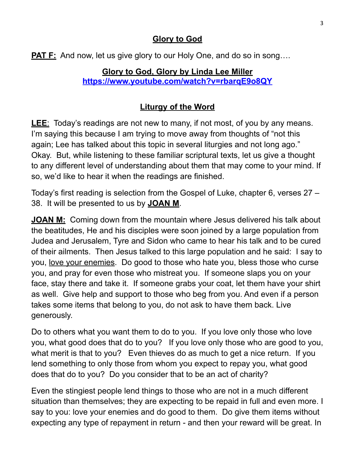### **Glory to God**

**PAT F:** And now, let us give glory to our Holy One, and do so in song....

#### **Glory to God, Glory by Linda Lee Miller <https://www.youtube.com/watch?v=rbarqE9o8QY>**

### **Liturgy of the Word**

**LEE**: Today's readings are not new to many, if not most, of you by any means. I'm saying this because I am trying to move away from thoughts of "not this again; Lee has talked about this topic in several liturgies and not long ago." Okay. But, while listening to these familiar scriptural texts, let us give a thought to any different level of understanding about them that may come to your mind. If so, we'd like to hear it when the readings are finished.

Today's first reading is selection from the Gospel of Luke, chapter 6, verses 27 – 38. It will be presented to us by **JOAN M**.

**JOAN M:** Coming down from the mountain where Jesus delivered his talk about the beatitudes, He and his disciples were soon joined by a large population from Judea and Jerusalem, Tyre and Sidon who came to hear his talk and to be cured of their ailments. Then Jesus talked to this large population and he said: I say to you, love your enemies. Do good to those who hate you, bless those who curse you, and pray for even those who mistreat you. If someone slaps you on your face, stay there and take it. If someone grabs your coat, let them have your shirt as well. Give help and support to those who beg from you. And even if a person takes some items that belong to you, do not ask to have them back. Live generously.

Do to others what you want them to do to you. If you love only those who love you, what good does that do to you? If you love only those who are good to you, what merit is that to you? Even thieves do as much to get a nice return. If you lend something to only those from whom you expect to repay you, what good does that do to you? Do you consider that to be an act of charity?

Even the stingiest people lend things to those who are not in a much different situation than themselves; they are expecting to be repaid in full and even more. I say to you: love your enemies and do good to them. Do give them items without expecting any type of repayment in return - and then your reward will be great. In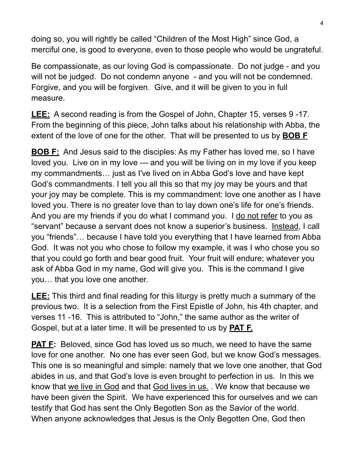doing so, you will rightly be called "Children of the Most High" since God, a merciful one, is good to everyone, even to those people who would be ungrateful.

Be compassionate, as our loving God is compassionate. Do not judge - and you will not be judged. Do not condemn anyone - and you will not be condemned. Forgive, and you will be forgiven. Give, and it will be given to you in full measure.

**LEE:** A second reading is from the Gospel of John, Chapter 15, verses 9 -17. From the beginning of this piece, John talks about his relationship with Abba, the extent of the love of one for the other. That will be presented to us by **BOB F**

**BOB F:** And Jesus said to the disciples: As my Father has loved me, so I have loved you. Live on in my love --- and you will be living on in my love if you keep my commandments… just as I've lived on in Abba God's love and have kept God's commandments. I tell you all this so that my joy may be yours and that your joy may be complete. This is my commandment: love one another as I have loved you. There is no greater love than to lay down one's life for one's friends. And you are my friends if you do what I command you. I do not refer to you as "servant" because a servant does not know a superior's business. Instead, I call you "friends"… because I have told you everything that I have learned from Abba God. It was not you who chose to follow my example, it was I who chose you so that you could go forth and bear good fruit. Your fruit will endure; whatever you ask of Abba God in my name, God will give you. This is the command I give you… that you love one another.

**LEE:** This third and final reading for this liturgy is pretty much a summary of the previous two. It is a selection from the First Epistle of John, his 4th chapter, and verses 11 -16. This is attributed to "John," the same author as the writer of Gospel, but at a later time. It will be presented to us by **PAT F.**

**PAT F:** Beloved, since God has loved us so much, we need to have the same love for one another. No one has ever seen God, but we know God's messages. This one is so meaningful and simple: namely that we love one another, that God abides in us, and that God's love is even brought to perfection in us. In this we know that we live in God and that God lives in us. . We know that because we have been given the Spirit. We have experienced this for ourselves and we can testify that God has sent the Only Begotten Son as the Savior of the world. When anyone acknowledges that Jesus is the Only Begotten One, God then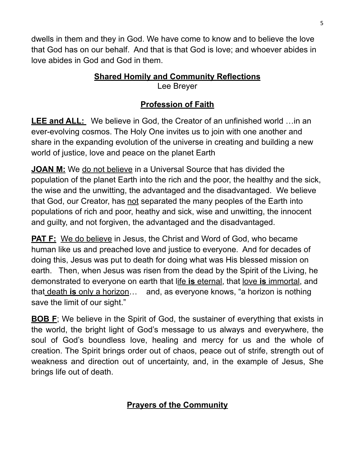dwells in them and they in God. We have come to know and to believe the love that God has on our behalf. And that is that God is love; and whoever abides in love abides in God and God in them.

#### **Shared Homily and Community Reflections** Lee Breyer

### **Profession of Faith**

**LEE and ALL:** We believe in God, the Creator of an unfinished world …in an ever-evolving cosmos. The Holy One invites us to join with one another and share in the expanding evolution of the universe in creating and building a new world of justice, love and peace on the planet Earth

**JOAN M:** We do not believe in a Universal Source that has divided the population of the planet Earth into the rich and the poor, the healthy and the sick, the wise and the unwitting, the advantaged and the disadvantaged. We believe that God, our Creator, has not separated the many peoples of the Earth into populations of rich and poor, heathy and sick, wise and unwitting, the innocent and guilty, and not forgiven, the advantaged and the disadvantaged.

**PAT F:** We do believe in Jesus, the Christ and Word of God, who became human like us and preached love and justice to everyone. And for decades of doing this, Jesus was put to death for doing what was His blessed mission on earth. Then, when Jesus was risen from the dead by the Spirit of the Living, he demonstrated to everyone on earth that life **is** eternal, that love **is** immortal, and that death **is** only a horizon… and, as everyone knows, "a horizon is nothing save the limit of our sight."

**BOB F**; We believe in the Spirit of God, the sustainer of everything that exists in the world, the bright light of God's message to us always and everywhere, the soul of God's boundless love, healing and mercy for us and the whole of creation. The Spirit brings order out of chaos, peace out of strife, strength out of weakness and direction out of uncertainty, and, in the example of Jesus, She brings life out of death.

### **Prayers of the Community**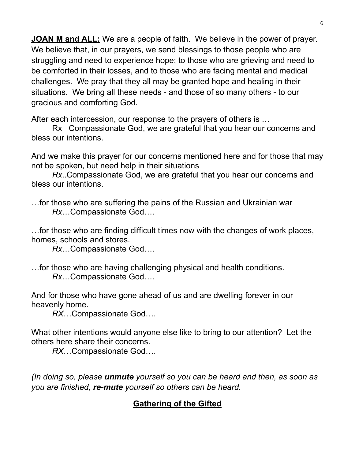**JOAN M and ALL:** We are a people of faith. We believe in the power of prayer. We believe that, in our prayers, we send blessings to those people who are struggling and need to experience hope; to those who are grieving and need to be comforted in their losses, and to those who are facing mental and medical challenges. We pray that they all may be granted hope and healing in their situations. We bring all these needs - and those of so many others - to our gracious and comforting God.

After each intercession, our response to the prayers of others is …

Rx Compassionate God, we are grateful that you hear our concerns and bless our intentions.

And we make this prayer for our concerns mentioned here and for those that may not be spoken, but need help in their situations

*Rx*..Compassionate God, we are grateful that you hear our concerns and bless our intentions.

…for those who are suffering the pains of the Russian and Ukrainian war *Rx*…Compassionate God….

…for those who are finding difficult times now with the changes of work places, homes, schools and stores.

*Rx*…Compassionate God….

…for those who are having challenging physical and health conditions. *Rx*…Compassionate God….

And for those who have gone ahead of us and are dwelling forever in our heavenly home.

*RX*…Compassionate God….

What other intentions would anyone else like to bring to our attention? Let the others here share their concerns.

*RX*…Compassionate God….

*(In doing so, please unmute yourself so you can be heard and then, as soon as you are finished, re-mute yourself so others can be heard.*

### **Gathering of the Gifted**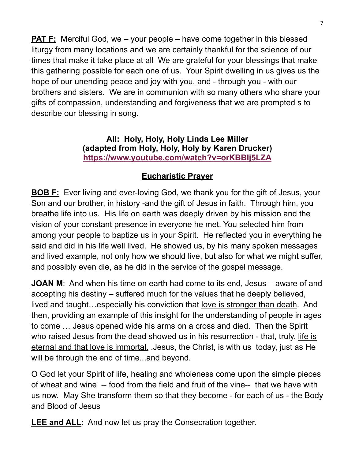**PAT F:** Merciful God, we – your people – have come together in this blessed liturgy from many locations and we are certainly thankful for the science of our times that make it take place at all We are grateful for your blessings that make this gathering possible for each one of us. Your Spirit dwelling in us gives us the hope of our unending peace and joy with you, and - through you - with our brothers and sisters. We are in communion with so many others who share your gifts of compassion, understanding and forgiveness that we are prompted s to describe our blessing in song.

#### **All: Holy, Holy, Holy Linda Lee Miller (adapted from Holy, Holy, Holy by Karen Drucker) <https://www.youtube.com/watch?v=orKBBIj5LZA>**

### **Eucharistic Prayer**

**BOB F:** Ever living and ever-loving God, we thank you for the gift of Jesus, your Son and our brother, in history -and the gift of Jesus in faith. Through him, you breathe life into us. His life on earth was deeply driven by his mission and the vision of your constant presence in everyone he met. You selected him from among your people to baptize us in your Spirit. He reflected you in everything he said and did in his life well lived. He showed us, by his many spoken messages and lived example, not only how we should live, but also for what we might suffer, and possibly even die, as he did in the service of the gospel message.

**JOAN M**: And when his time on earth had come to its end, Jesus – aware of and accepting his destiny – suffered much for the values that he deeply believed, lived and taught…especially his conviction that love is stronger than death. And then, providing an example of this insight for the understanding of people in ages to come … Jesus opened wide his arms on a cross and died. Then the Spirit who raised Jesus from the dead showed us in his resurrection - that, truly, life is eternal and that love is immortal. .Jesus, the Christ, is with us today, just as He will be through the end of time...and beyond.

O God let your Spirit of life, healing and wholeness come upon the simple pieces of wheat and wine -- food from the field and fruit of the vine-- that we have with us now. May She transform them so that they become - for each of us - the Body and Blood of Jesus

**LEE and ALL**: And now let us pray the Consecration together.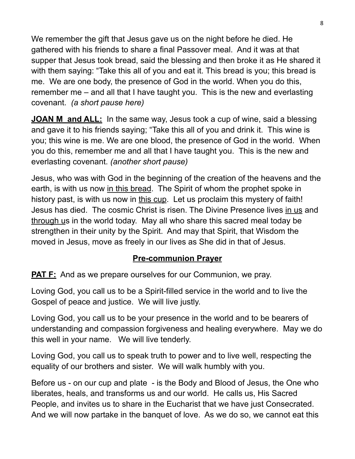We remember the gift that Jesus gave us on the night before he died. He gathered with his friends to share a final Passover meal. And it was at that supper that Jesus took bread, said the blessing and then broke it as He shared it with them saying: "Take this all of you and eat it. This bread is you; this bread is me. We are one body, the presence of God in the world. When you do this, remember me – and all that I have taught you. This is the new and everlasting covenant. *(a short pause here)*

**JOAN M and ALL:** In the same way, Jesus took a cup of wine, said a blessing and gave it to his friends saying; "Take this all of you and drink it. This wine is you; this wine is me. We are one blood, the presence of God in the world. When you do this, remember me and all that I have taught you. This is the new and everlasting covenant. *(another short pause)*

Jesus, who was with God in the beginning of the creation of the heavens and the earth, is with us now in this bread. The Spirit of whom the prophet spoke in history past, is with us now in this cup. Let us proclaim this mystery of faith! Jesus has died. The cosmic Christ is risen. The Divine Presence lives in us and through us in the world today. May all who share this sacred meal today be strengthen in their unity by the Spirit. And may that Spirit, that Wisdom the moved in Jesus, move as freely in our lives as She did in that of Jesus.

### **Pre-communion Prayer**

**PAT F:** And as we prepare ourselves for our Communion, we pray.

Loving God, you call us to be a Spirit-filled service in the world and to live the Gospel of peace and justice. We will live justly.

Loving God, you call us to be your presence in the world and to be bearers of understanding and compassion forgiveness and healing everywhere. May we do this well in your name. We will live tenderly.

Loving God, you call us to speak truth to power and to live well, respecting the equality of our brothers and sister. We will walk humbly with you.

Before us - on our cup and plate - is the Body and Blood of Jesus, the One who liberates, heals, and transforms us and our world. He calls us, His Sacred People, and invites us to share in the Eucharist that we have just Consecrated. And we will now partake in the banquet of love. As we do so, we cannot eat this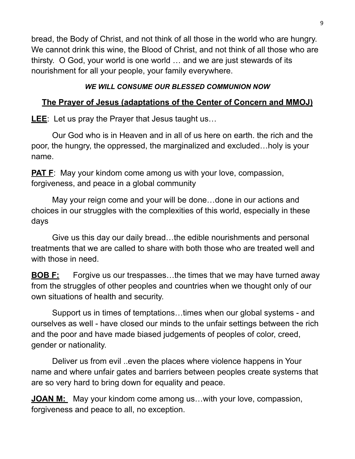bread, the Body of Christ, and not think of all those in the world who are hungry. We cannot drink this wine, the Blood of Christ, and not think of all those who are thirsty. O God, your world is one world … and we are just stewards of its nourishment for all your people, your family everywhere.

### *WE WILL CONSUME OUR BLESSED COMMUNION NOW*

### **The Prayer of Jesus (adaptations of the Center of Concern and MMOJ)**

**LEE**: Let us pray the Prayer that Jesus taught us…

Our God who is in Heaven and in all of us here on earth. the rich and the poor, the hungry, the oppressed, the marginalized and excluded…holy is your name.

**PAT F:** May your kindom come among us with your love, compassion, forgiveness, and peace in a global community

May your reign come and your will be done…done in our actions and choices in our struggles with the complexities of this world, especially in these days

Give us this day our daily bread…the edible nourishments and personal treatments that we are called to share with both those who are treated well and with those in need.

**BOB F:** Forgive us our trespasses...the times that we may have turned away from the struggles of other peoples and countries when we thought only of our own situations of health and security.

Support us in times of temptations…times when our global systems - and ourselves as well - have closed our minds to the unfair settings between the rich and the poor and have made biased judgements of peoples of color, creed, gender or nationality.

Deliver us from evil ..even the places where violence happens in Your name and where unfair gates and barriers between peoples create systems that are so very hard to bring down for equality and peace.

**JOAN M:** May your kindom come among us...with your love, compassion, forgiveness and peace to all, no exception.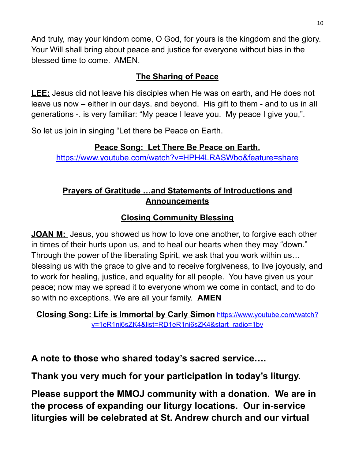And truly, may your kindom come, O God, for yours is the kingdom and the glory. Your Will shall bring about peace and justice for everyone without bias in the blessed time to come. AMEN.

### **The Sharing of Peace**

**LEE:** Jesus did not leave his disciples when He was on earth, and He does not leave us now – either in our days. and beyond. His gift to them - and to us in all generations -. is very familiar: "My peace I leave you. My peace I give you,".

So let us join in singing "Let there be Peace on Earth.

### **Peace Song: Let There Be Peace on Earth.**

<https://www.youtube.com/watch?v=HPH4LRASWbo&feature=share>

## **Prayers of Gratitude …and Statements of Introductions and Announcements**

# **Closing Community Blessing**

**JOAN M:** Jesus, you showed us how to love one another, to forgive each other in times of their hurts upon us, and to heal our hearts when they may "down." Through the power of the liberating Spirit, we ask that you work within us… blessing us with the grace to give and to receive forgiveness, to live joyously, and to work for healing, justice, and equality for all people. You have given us your peace; now may we spread it to everyone whom we come in contact, and to do so with no exceptions. We are all your family. **AMEN**

**Closing Song: Life is Immortal by Carly Simon** [https://www.youtube.com/watch?](https://www.youtube.com/watch?v=1eR1ni6sZK4&list=RD1eR1ni6sZK4&start_radio=1by) [v=1eR1ni6sZK4&list=RD1eR1ni6sZK4&start\\_radio=1by](https://www.youtube.com/watch?v=1eR1ni6sZK4&list=RD1eR1ni6sZK4&start_radio=1by)

**A note to those who shared today's sacred service….**

**Thank you very much for your participation in today's liturgy.**

**Please support the MMOJ community with a donation. We are in the process of expanding our liturgy locations. Our in-service liturgies will be celebrated at St. Andrew church and our virtual**